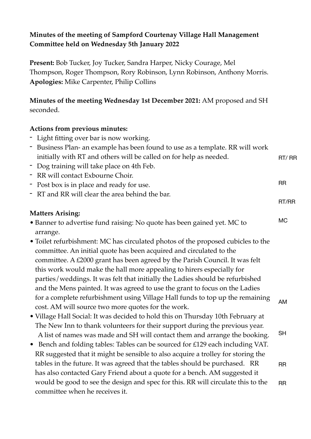# **Minutes of the meeting of Sampford Courtenay Village Hall Management Committee held on Wednesday 5th January 2022**

**Present:** Bob Tucker, Joy Tucker, Sandra Harper, Nicky Courage, Mel Thompson, Roger Thompson, Rory Robinson, Lynn Robinson, Anthony Morris. **Apologies:** Mike Carpenter, Philip Collins

**Minutes of the meeting Wednesday 1st December 2021:** AM proposed and SH seconded.

## **Actions from previous minutes:**

- Light fitting over bar is now working.

| - Business Plan- an example has been found to use as a template. RR will work |       |
|-------------------------------------------------------------------------------|-------|
| initially with RT and others will be called on for help as needed.            | RT/RR |
| - Dog training will take place on 4th Feb.                                    |       |

RR

RT/RR

- RR will contact Exbourne Choir.
- Post box is in place and ready for use.
- RT and RR will clear the area behind the bar.

## **Matters Arising:**

- Banner to advertise fund raising: No quote has been gained yet. MC to arrange. MC
- Toilet refurbishment: MC has circulated photos of the proposed cubicles to the committee. An initial quote has been acquired and circulated to the committee. A £2000 grant has been agreed by the Parish Council. It was felt this work would make the hall more appealing to hirers especially for parties/weddings. It was felt that initially the Ladies should be refurbished and the Mens painted. It was agreed to use the grant to focus on the Ladies for a complete refurbishment using Village Hall funds to top up the remaining cost. AM will source two more quotes for the work. AM
- Village Hall Social: It was decided to hold this on Thursday 10th February at The New Inn to thank volunteers for their support during the previous year. A list of names was made and SH will contact them and arrange the booking. SH
- Bench and folding tables: Tables can be sourced for £129 each including VAT. RR suggested that it might be sensible to also acquire a trolley for storing the tables in the future. It was agreed that the tables should be purchased. RR has also contacted Gary Friend about a quote for a bench. AM suggested it would be good to see the design and spec for this. RR will circulate this to the committee when he receives it. RR RR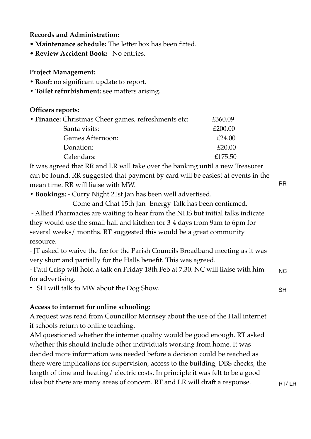### **Records and Administration:**

- **Maintenance schedule:** The letter box has been fitted.
- **Review Accident Book:** No entries.

#### **Project Management:**

- **• Roof:** no significant update to report.
- **• Toilet refurbishment:** see matters arising.

#### **Officers reports:**

| • Finance: Christmas Cheer games, refreshments etc: | £360.09 |
|-----------------------------------------------------|---------|
| Santa visits:                                       | £200.00 |
| Games Afternoon:                                    | £24.00  |
| Donation:                                           | £20.00  |
| Calendars:                                          | £175.50 |

It was agreed that RR and LR will take over the banking until a new Treasurer can be found. RR suggested that payment by card will be easiest at events in the mean time. RR will liaise with MW.

**• Bookings:** - Curry Night 21st Jan has been well advertised.

- Come and Chat 15th Jan- Energy Talk has been confirmed.

 - Allied Pharmacies are waiting to hear from the NHS but initial talks indicate they would use the small hall and kitchen for 3-4 days from 9am to 6pm for several weeks/ months. RT suggested this would be a great community resource.

- JT asked to waive the fee for the Parish Councils Broadband meeting as it was very short and partially for the Halls benefit. This was agreed.

- Paul Crisp will hold a talk on Friday 18th Feb at 7.30. NC will liaise with him for advertising. NC

**-** SH will talk to MW about the Dog Show.

#### **Access to internet for online schooling:**

A request was read from Councillor Morrisey about the use of the Hall internet if schools return to online teaching.

AM questioned whether the internet quality would be good enough. RT asked whether this should include other individuals working from home. It was decided more information was needed before a decision could be reached as there were implications for supervision, access to the building, DBS checks, the length of time and heating/ electric costs. In principle it was felt to be a good idea but there are many areas of concern. RT and LR will draft a response.

RR

SH